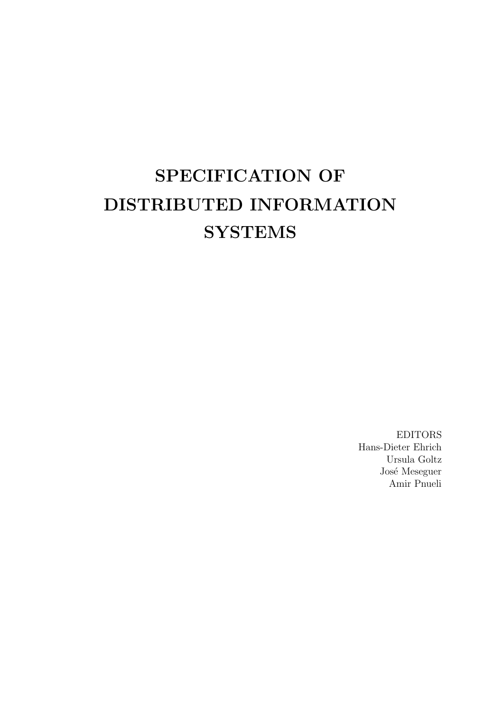# SPECIFICATION OF DISTRIBUTED INFORMATION **SYSTEMS**

EDITORS Hans-Dieter Ehrich Ursula Goltz José Meseguer Amir Pnueli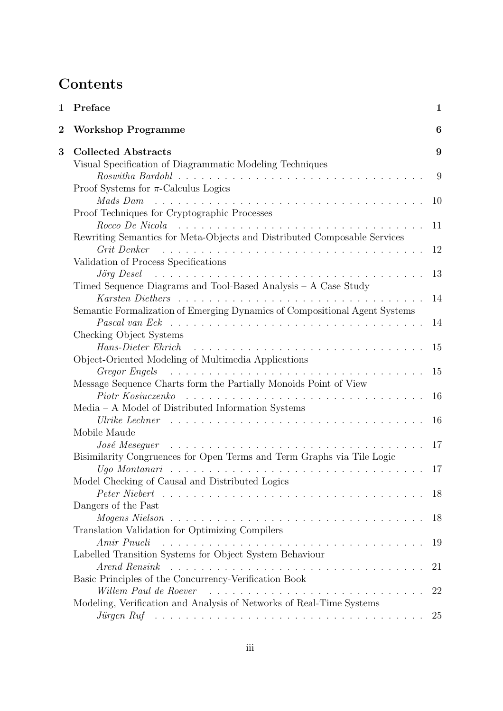# **Contents**

| $\mathbf 1$ | Preface                                                                                                                                                                                                                              | 1  |
|-------------|--------------------------------------------------------------------------------------------------------------------------------------------------------------------------------------------------------------------------------------|----|
| $\bf{2}$    | <b>Workshop Programme</b>                                                                                                                                                                                                            | 6  |
| 3           | <b>Collected Abstracts</b>                                                                                                                                                                                                           | 9  |
|             | Visual Specification of Diagrammatic Modeling Techniques                                                                                                                                                                             |    |
|             |                                                                                                                                                                                                                                      | 9  |
|             | Proof Systems for $\pi$ -Calculus Logics                                                                                                                                                                                             |    |
|             | Mads Dam                                                                                                                                                                                                                             | 10 |
|             | Proof Techniques for Cryptographic Processes                                                                                                                                                                                         |    |
|             | $Rocco$ $De$ $Nicola$ $\ldots$ $\ldots$ $\ldots$ $\ldots$ $\ldots$ $\ldots$ $\ldots$ $\ldots$ $\ldots$ $\ldots$ $\ldots$ $\ldots$                                                                                                    | 11 |
|             | Rewriting Semantics for Meta-Objects and Distributed Composable Services                                                                                                                                                             |    |
|             | Grit Denker                                                                                                                                                                                                                          | 12 |
|             | Validation of Process Specifications                                                                                                                                                                                                 |    |
|             | $J\ddot{o}$ rg $Desel$ as a series as a series of the series of the series of the series of the series of the series of the series of the series of the series of the series of the series of the series of the series of the series | 13 |
|             | Timed Sequence Diagrams and Tool-Based Analysis - A Case Study                                                                                                                                                                       |    |
|             |                                                                                                                                                                                                                                      | 14 |
|             | Semantic Formalization of Emerging Dynamics of Compositional Agent Systems                                                                                                                                                           |    |
|             |                                                                                                                                                                                                                                      | 14 |
|             | Checking Object Systems                                                                                                                                                                                                              |    |
|             | Hans-Dieter Ehrich received in the service of the service of the service of the service of the service of the service of the service of the service of the service of the service of the service of the service of the service       | 15 |
|             | Object-Oriented Modeling of Multimedia Applications                                                                                                                                                                                  |    |
|             | Gregor Engels (and all and all and all and all and all and all and all and all and all and all and all and all a                                                                                                                     | 15 |
|             | Message Sequence Charts form the Partially Monoids Point of View                                                                                                                                                                     |    |
|             | Piotr Kosiuczenko                                                                                                                                                                                                                    | 16 |
|             | $Media - A Model of Distributed Information Systems$                                                                                                                                                                                 |    |
|             |                                                                                                                                                                                                                                      | 16 |
|             | Mobile Maude                                                                                                                                                                                                                         |    |
|             | $\it José$ $\it Meseq$ $uer$ $\ldots \ldots \ldots \ldots \ldots \ldots \ldots \ldots \ldots \ldots \ldots$                                                                                                                          | 17 |
|             | Bisimilarity Congruences for Open Terms and Term Graphs via Tile Logic                                                                                                                                                               | 17 |
|             | Model Checking of Causal and Distributed Logics                                                                                                                                                                                      |    |
|             |                                                                                                                                                                                                                                      | 18 |
|             | Dangers of the Past                                                                                                                                                                                                                  |    |
|             |                                                                                                                                                                                                                                      | 18 |
|             | Translation Validation for Optimizing Compilers                                                                                                                                                                                      |    |
|             |                                                                                                                                                                                                                                      | 19 |
|             | Labelled Transition Systems for Object System Behaviour                                                                                                                                                                              |    |
|             |                                                                                                                                                                                                                                      | 21 |
|             | Basic Principles of the Concurrency-Verification Book                                                                                                                                                                                |    |
|             | Willem Paul de Roever                                                                                                                                                                                                                | 22 |
|             | Modeling, Verification and Analysis of Networks of Real-Time Systems                                                                                                                                                                 |    |
|             | Jürgen Ruf $\ldots \ldots \ldots \ldots \ldots \ldots \ldots \ldots \ldots \ldots \ldots \ldots$                                                                                                                                     | 25 |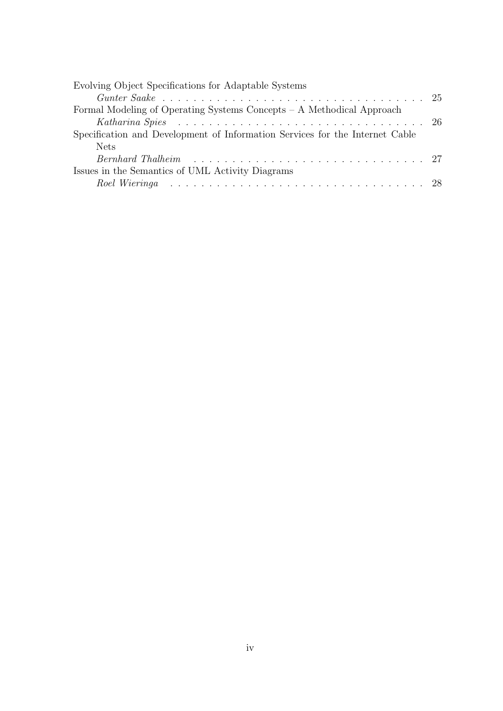| Evolving Object Specifications for Adaptable Systems                                                                                                                                                                           |  |
|--------------------------------------------------------------------------------------------------------------------------------------------------------------------------------------------------------------------------------|--|
|                                                                                                                                                                                                                                |  |
| Formal Modeling of Operating Systems Concepts – A Methodical Approach                                                                                                                                                          |  |
| Katharina Spies research is a series of the series of the series of the series of the series of the Spieler of T                                                                                                               |  |
| Specification and Development of Information Services for the Internet Cable                                                                                                                                                   |  |
| <b>Nets</b>                                                                                                                                                                                                                    |  |
| Bernhard Thalheim resources resources in the settlement of the settlement of the settlement of the settlement of the settlement of the settlement of the settlement of the settlement of the settlement of the settlement of t |  |
| Issues in the Semantics of UML Activity Diagrams                                                                                                                                                                               |  |
| Roel Wieringa eta sentralarria eta mentrialdea eta mentrialdea eta mentrialdea eta mentrialdea eta mentrialdea                                                                                                                 |  |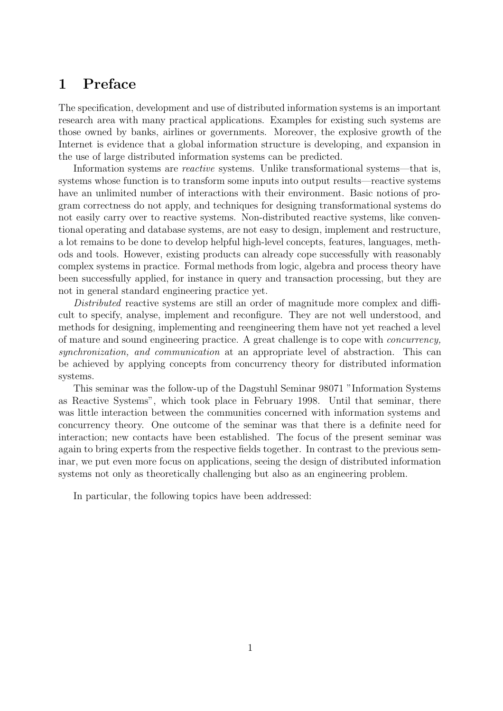# 1 Preface

The specification, development and use of distributed information systems is an important research area with many practical applications. Examples for existing such systems are those owned by banks, airlines or governments. Moreover, the explosive growth of the Internet is evidence that a global information structure is developing, and expansion in the use of large distributed information systems can be predicted.

Information systems are reactive systems. Unlike transformational systems—that is, systems whose function is to transform some inputs into output results—reactive systems have an unlimited number of interactions with their environment. Basic notions of program correctness do not apply, and techniques for designing transformational systems do not easily carry over to reactive systems. Non-distributed reactive systems, like conventional operating and database systems, are not easy to design, implement and restructure, a lot remains to be done to develop helpful high-level concepts, features, languages, methods and tools. However, existing products can already cope successfully with reasonably complex systems in practice. Formal methods from logic, algebra and process theory have been successfully applied, for instance in query and transaction processing, but they are not in general standard engineering practice yet.

Distributed reactive systems are still an order of magnitude more complex and difficult to specify, analyse, implement and reconfigure. They are not well understood, and methods for designing, implementing and reengineering them have not yet reached a level of mature and sound engineering practice. A great challenge is to cope with concurrency, synchronization, and communication at an appropriate level of abstraction. This can be achieved by applying concepts from concurrency theory for distributed information systems.

This seminar was the follow-up of the Dagstuhl Seminar 98071 "Information Systems as Reactive Systems", which took place in February 1998. Until that seminar, there was little interaction between the communities concerned with information systems and concurrency theory. One outcome of the seminar was that there is a definite need for interaction; new contacts have been established. The focus of the present seminar was again to bring experts from the respective fields together. In contrast to the previous seminar, we put even more focus on applications, seeing the design of distributed information systems not only as theoretically challenging but also as an engineering problem.

In particular, the following topics have been addressed: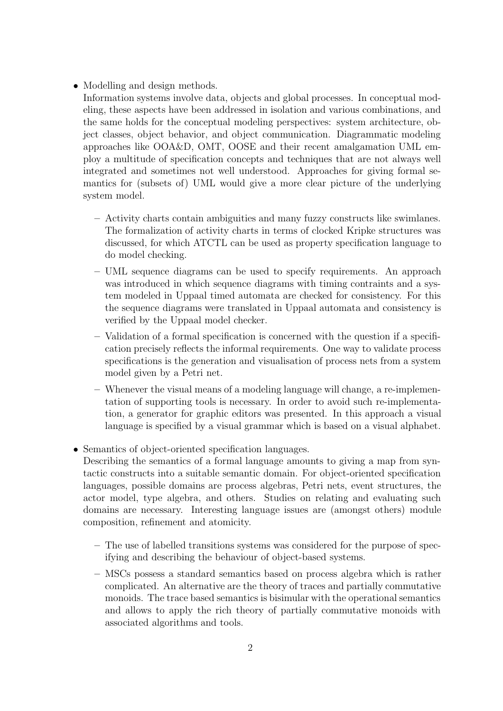- Modelling and design methods.
	- Information systems involve data, objects and global processes. In conceptual modeling, these aspects have been addressed in isolation and various combinations, and the same holds for the conceptual modeling perspectives: system architecture, object classes, object behavior, and object communication. Diagrammatic modeling approaches like OOA&D, OMT, OOSE and their recent amalgamation UML employ a multitude of specification concepts and techniques that are not always well integrated and sometimes not well understood. Approaches for giving formal semantics for (subsets of) UML would give a more clear picture of the underlying system model.
		- Activity charts contain ambiguities and many fuzzy constructs like swimlanes. The formalization of activity charts in terms of clocked Kripke structures was discussed, for which ATCTL can be used as property specification language to do model checking.
		- UML sequence diagrams can be used to specify requirements. An approach was introduced in which sequence diagrams with timing contraints and a system modeled in Uppaal timed automata are checked for consistency. For this the sequence diagrams were translated in Uppaal automata and consistency is verified by the Uppaal model checker.
		- Validation of a formal specification is concerned with the question if a specification precisely reflects the informal requirements. One way to validate process specifications is the generation and visualisation of process nets from a system model given by a Petri net.
		- Whenever the visual means of a modeling language will change, a re-implementation of supporting tools is necessary. In order to avoid such re-implementation, a generator for graphic editors was presented. In this approach a visual language is specified by a visual grammar which is based on a visual alphabet.
- Semantics of object-oriented specification languages.

Describing the semantics of a formal language amounts to giving a map from syntactic constructs into a suitable semantic domain. For object-oriented specification languages, possible domains are process algebras, Petri nets, event structures, the actor model, type algebra, and others. Studies on relating and evaluating such domains are necessary. Interesting language issues are (amongst others) module composition, refinement and atomicity.

- The use of labelled transitions systems was considered for the purpose of specifying and describing the behaviour of object-based systems.
- MSCs possess a standard semantics based on process algebra which is rather complicated. An alternative are the theory of traces and partially commutative monoids. The trace based semantics is bisimular with the operational semantics and allows to apply the rich theory of partially commutative monoids with associated algorithms and tools.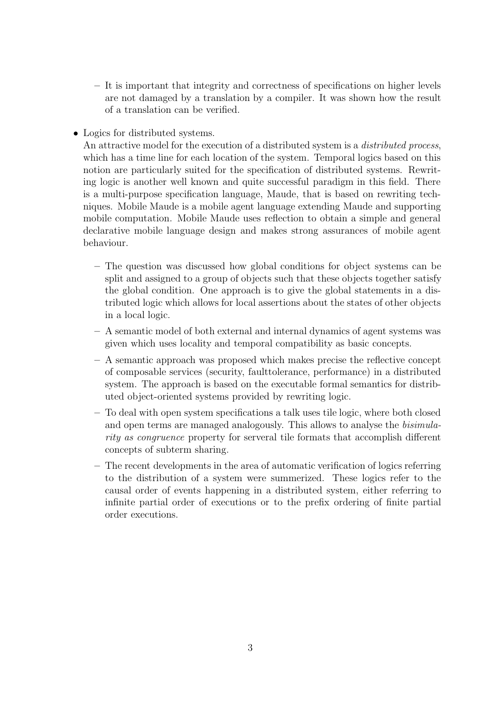- It is important that integrity and correctness of specifications on higher levels are not damaged by a translation by a compiler. It was shown how the result of a translation can be verified.
- Logics for distributed systems.

An attractive model for the execution of a distributed system is a *distributed process*, which has a time line for each location of the system. Temporal logics based on this notion are particularly suited for the specification of distributed systems. Rewriting logic is another well known and quite successful paradigm in this field. There is a multi-purpose specification language, Maude, that is based on rewriting techniques. Mobile Maude is a mobile agent language extending Maude and supporting mobile computation. Mobile Maude uses reflection to obtain a simple and general declarative mobile language design and makes strong assurances of mobile agent behaviour.

- The question was discussed how global conditions for object systems can be split and assigned to a group of objects such that these objects together satisfy the global condition. One approach is to give the global statements in a distributed logic which allows for local assertions about the states of other objects in a local logic.
- A semantic model of both external and internal dynamics of agent systems was given which uses locality and temporal compatibility as basic concepts.
- A semantic approach was proposed which makes precise the reflective concept of composable services (security, faulttolerance, performance) in a distributed system. The approach is based on the executable formal semantics for distributed object-oriented systems provided by rewriting logic.
- To deal with open system specifications a talk uses tile logic, where both closed and open terms are managed analogously. This allows to analyse the bisimularity as congruence property for serveral tile formats that accomplish different concepts of subterm sharing.
- The recent developments in the area of automatic verification of logics referring to the distribution of a system were summerized. These logics refer to the causal order of events happening in a distributed system, either referring to infinite partial order of executions or to the prefix ordering of finite partial order executions.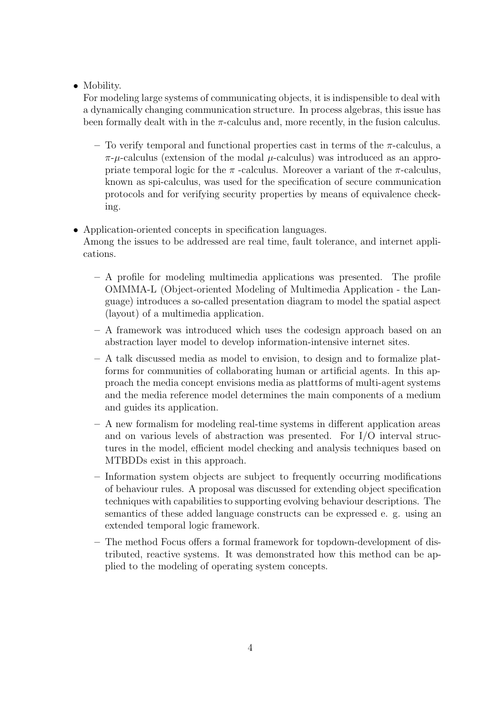#### • Mobility.

For modeling large systems of communicating objects, it is indispensible to deal with a dynamically changing communication structure. In process algebras, this issue has been formally dealt with in the  $\pi$ -calculus and, more recently, in the fusion calculus.

– To verify temporal and functional properties cast in terms of the  $\pi$ -calculus, a  $\pi$ - $\mu$ -calculus (extension of the modal  $\mu$ -calculus) was introduced as an appropriate temporal logic for the  $\pi$ -calculus. Moreover a variant of the  $\pi$ -calculus, known as spi-calculus, was used for the specification of secure communication protocols and for verifying security properties by means of equivalence checking.

#### • Application-oriented concepts in specification languages.

Among the issues to be addressed are real time, fault tolerance, and internet applications.

- A profile for modeling multimedia applications was presented. The profile OMMMA-L (Object-oriented Modeling of Multimedia Application - the Language) introduces a so-called presentation diagram to model the spatial aspect (layout) of a multimedia application.
- A framework was introduced which uses the codesign approach based on an abstraction layer model to develop information-intensive internet sites.
- A talk discussed media as model to envision, to design and to formalize platforms for communities of collaborating human or artificial agents. In this approach the media concept envisions media as plattforms of multi-agent systems and the media reference model determines the main components of a medium and guides its application.
- A new formalism for modeling real-time systems in different application areas and on various levels of abstraction was presented. For I/O interval structures in the model, efficient model checking and analysis techniques based on MTBDDs exist in this approach.
- Information system objects are subject to frequently occurring modifications of behaviour rules. A proposal was discussed for extending object specification techniques with capabilities to supporting evolving behaviour descriptions. The semantics of these added language constructs can be expressed e. g. using an extended temporal logic framework.
- The method Focus offers a formal framework for topdown-development of distributed, reactive systems. It was demonstrated how this method can be applied to the modeling of operating system concepts.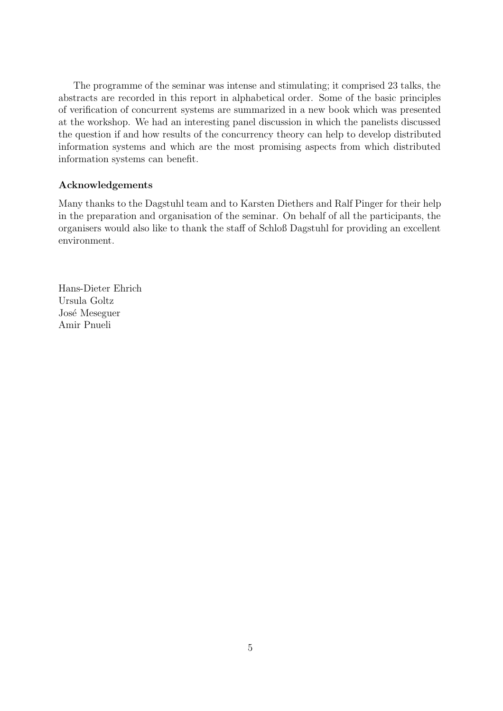The programme of the seminar was intense and stimulating; it comprised 23 talks, the abstracts are recorded in this report in alphabetical order. Some of the basic principles of verification of concurrent systems are summarized in a new book which was presented at the workshop. We had an interesting panel discussion in which the panelists discussed the question if and how results of the concurrency theory can help to develop distributed information systems and which are the most promising aspects from which distributed information systems can benefit.

#### Acknowledgements

Many thanks to the Dagstuhl team and to Karsten Diethers and Ralf Pinger for their help in the preparation and organisation of the seminar. On behalf of all the participants, the organisers would also like to thank the staff of Schloß Dagstuhl for providing an excellent environment.

Hans-Dieter Ehrich Ursula Goltz José Meseguer Amir Pnueli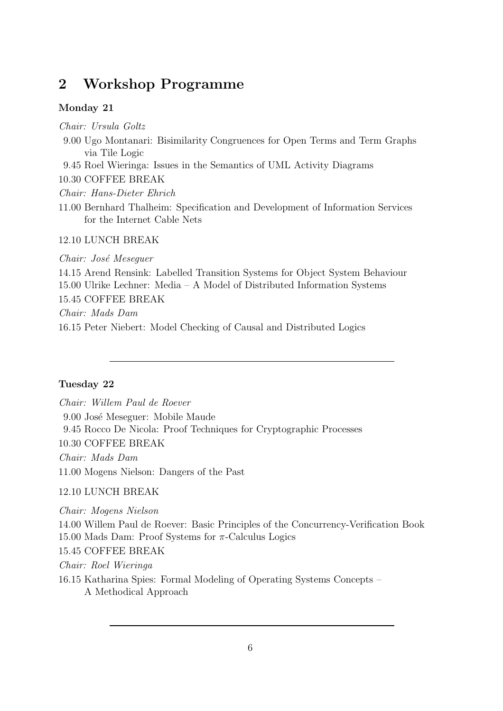# 2 Workshop Programme

#### Monday 21

Chair: Ursula Goltz

- 9.00 Ugo Montanari: Bisimilarity Congruences for Open Terms and Term Graphs via Tile Logic
- 9.45 Roel Wieringa: Issues in the Semantics of UML Activity Diagrams

10.30 COFFEE BREAK

Chair: Hans-Dieter Ehrich

11.00 Bernhard Thalheim: Specification and Development of Information Services for the Internet Cable Nets

#### 12.10 LUNCH BREAK

Chair: José Mesequer 14.15 Arend Rensink: Labelled Transition Systems for Object System Behaviour 15.00 Ulrike Lechner: Media – A Model of Distributed Information Systems 15.45 COFFEE BREAK Chair: Mads Dam 16.15 Peter Niebert: Model Checking of Causal and Distributed Logics

#### Tuesday 22

Chair: Willem Paul de Roever 9.00 José Meseguer: Mobile Maude 9.45 Rocco De Nicola: Proof Techniques for Cryptographic Processes 10.30 COFFEE BREAK Chair: Mads Dam 11.00 Mogens Nielson: Dangers of the Past 12.10 LUNCH BREAK

Chair: Mogens Nielson 14.00 Willem Paul de Roever: Basic Principles of the Concurrency-Verification Book 15.00 Mads Dam: Proof Systems for  $\pi$ -Calculus Logics 15.45 COFFEE BREAK Chair: Roel Wieringa 16.15 Katharina Spies: Formal Modeling of Operating Systems Concepts – A Methodical Approach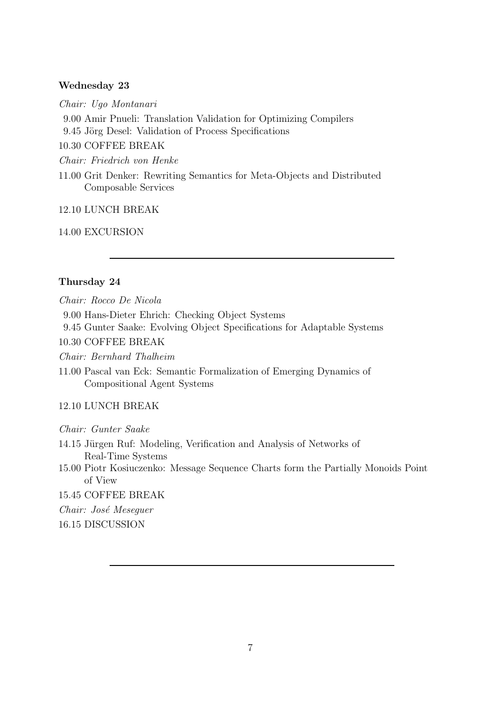#### Wednesday 23

Chair: Ugo Montanari

9.00 Amir Pnueli: Translation Validation for Optimizing Compilers

9.45 Jörg Desel: Validation of Process Specifications

10.30 COFFEE BREAK

Chair: Friedrich von Henke

11.00 Grit Denker: Rewriting Semantics for Meta-Objects and Distributed Composable Services

12.10 LUNCH BREAK

14.00 EXCURSION

#### Thursday 24

Chair: Rocco De Nicola

9.00 Hans-Dieter Ehrich: Checking Object Systems

9.45 Gunter Saake: Evolving Object Specifications for Adaptable Systems

10.30 COFFEE BREAK

Chair: Bernhard Thalheim

11.00 Pascal van Eck: Semantic Formalization of Emerging Dynamics of Compositional Agent Systems

#### 12.10 LUNCH BREAK

Chair: Gunter Saake

- 14.15 Jürgen Ruf: Modeling, Verification and Analysis of Networks of Real-Time Systems
- 15.00 Piotr Kosiuczenko: Message Sequence Charts form the Partially Monoids Point of View

15.45 COFFEE BREAK

Chair: José Meseguer

16.15 DISCUSSION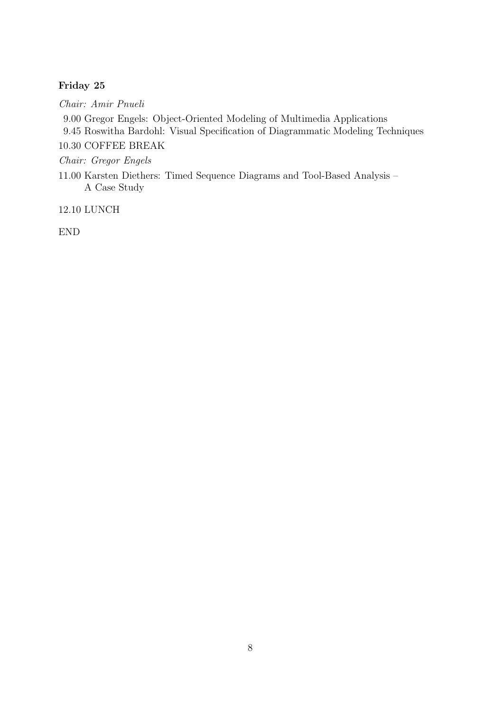#### Friday 25

Chair: Amir Pnueli

9.00 Gregor Engels: Object-Oriented Modeling of Multimedia Applications

9.45 Roswitha Bardohl: Visual Specification of Diagrammatic Modeling Techniques

10.30 COFFEE BREAK

Chair: Gregor Engels

11.00 Karsten Diethers: Timed Sequence Diagrams and Tool-Based Analysis – A Case Study

12.10 LUNCH

END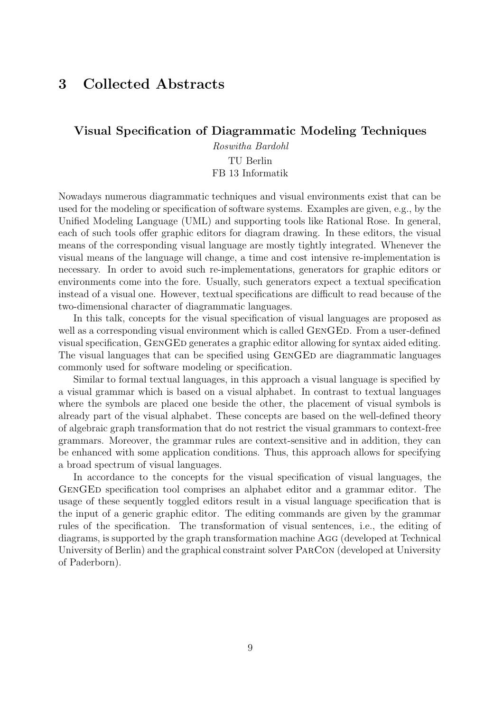# 3 Collected Abstracts

#### Visual Specification of Diagrammatic Modeling Techniques

Roswitha Bardohl TU Berlin FB 13 Informatik

Nowadays numerous diagrammatic techniques and visual environments exist that can be used for the modeling or specification of software systems. Examples are given, e.g., by the Unified Modeling Language (UML) and supporting tools like Rational Rose. In general, each of such tools offer graphic editors for diagram drawing. In these editors, the visual means of the corresponding visual language are mostly tightly integrated. Whenever the visual means of the language will change, a time and cost intensive re-implementation is necessary. In order to avoid such re-implementations, generators for graphic editors or environments come into the fore. Usually, such generators expect a textual specification instead of a visual one. However, textual specifications are difficult to read because of the two-dimensional character of diagrammatic languages.

In this talk, concepts for the visual specification of visual languages are proposed as well as a corresponding visual environment which is called GENGED. From a user-defined visual specification, GenGEd generates a graphic editor allowing for syntax aided editing. The visual languages that can be specified using GENGED are diagrammatic languages commonly used for software modeling or specification.

Similar to formal textual languages, in this approach a visual language is specified by a visual grammar which is based on a visual alphabet. In contrast to textual languages where the symbols are placed one beside the other, the placement of visual symbols is already part of the visual alphabet. These concepts are based on the well-defined theory of algebraic graph transformation that do not restrict the visual grammars to context-free grammars. Moreover, the grammar rules are context-sensitive and in addition, they can be enhanced with some application conditions. Thus, this approach allows for specifying a broad spectrum of visual languages.

In accordance to the concepts for the visual specification of visual languages, the GENGED specification tool comprises an alphabet editor and a grammar editor. The usage of these sequently toggled editors result in a visual language specification that is the input of a generic graphic editor. The editing commands are given by the grammar rules of the specification. The transformation of visual sentences, i.e., the editing of diagrams, is supported by the graph transformation machine Agg (developed at Technical University of Berlin) and the graphical constraint solver ParCon (developed at University of Paderborn).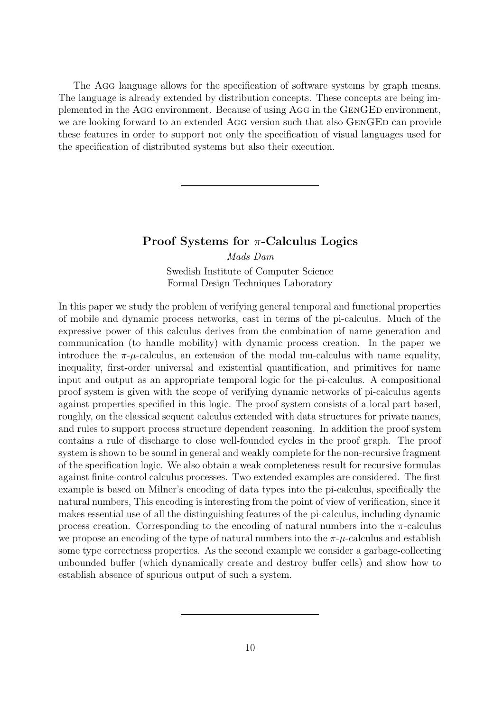The AGG language allows for the specification of software systems by graph means. The language is already extended by distribution concepts. These concepts are being implemented in the AGG environment. Because of using AGG in the GENGED environment, we are looking forward to an extended AGG version such that also GENGED can provide these features in order to support not only the specification of visual languages used for the specification of distributed systems but also their execution.

#### Proof Systems for  $\pi$ -Calculus Logics

Mads Dam Swedish Institute of Computer Science Formal Design Techniques Laboratory

In this paper we study the problem of verifying general temporal and functional properties of mobile and dynamic process networks, cast in terms of the pi-calculus. Much of the expressive power of this calculus derives from the combination of name generation and communication (to handle mobility) with dynamic process creation. In the paper we introduce the  $\pi$ - $\mu$ -calculus, an extension of the modal mu-calculus with name equality, inequality, first-order universal and existential quantification, and primitives for name input and output as an appropriate temporal logic for the pi-calculus. A compositional proof system is given with the scope of verifying dynamic networks of pi-calculus agents against properties specified in this logic. The proof system consists of a local part based, roughly, on the classical sequent calculus extended with data structures for private names, and rules to support process structure dependent reasoning. In addition the proof system contains a rule of discharge to close well-founded cycles in the proof graph. The proof system is shown to be sound in general and weakly complete for the non-recursive fragment of the specification logic. We also obtain a weak completeness result for recursive formulas against finite-control calculus processes. Two extended examples are considered. The first example is based on Milner's encoding of data types into the pi-calculus, specifically the natural numbers, This encoding is interesting from the point of view of verification, since it makes essential use of all the distinguishing features of the pi-calculus, including dynamic process creation. Corresponding to the encoding of natural numbers into the  $\pi$ -calculus we propose an encoding of the type of natural numbers into the  $\pi$ - $\mu$ -calculus and establish some type correctness properties. As the second example we consider a garbage-collecting unbounded buffer (which dynamically create and destroy buffer cells) and show how to establish absence of spurious output of such a system.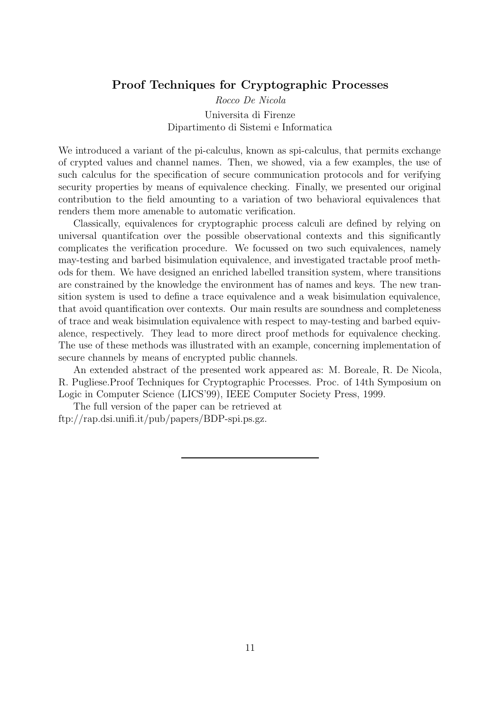#### Proof Techniques for Cryptographic Processes

Rocco De Nicola Universita di Firenze Dipartimento di Sistemi e Informatica

We introduced a variant of the pi-calculus, known as spi-calculus, that permits exchange of crypted values and channel names. Then, we showed, via a few examples, the use of such calculus for the specification of secure communication protocols and for verifying security properties by means of equivalence checking. Finally, we presented our original contribution to the field amounting to a variation of two behavioral equivalences that renders them more amenable to automatic verification.

Classically, equivalences for cryptographic process calculi are defined by relying on universal quantifcation over the possible observational contexts and this significantly complicates the verification procedure. We focussed on two such equivalences, namely may-testing and barbed bisimulation equivalence, and investigated tractable proof methods for them. We have designed an enriched labelled transition system, where transitions are constrained by the knowledge the environment has of names and keys. The new transition system is used to define a trace equivalence and a weak bisimulation equivalence, that avoid quantification over contexts. Our main results are soundness and completeness of trace and weak bisimulation equivalence with respect to may-testing and barbed equivalence, respectively. They lead to more direct proof methods for equivalence checking. The use of these methods was illustrated with an example, concerning implementation of secure channels by means of encrypted public channels.

An extended abstract of the presented work appeared as: M. Boreale, R. De Nicola, R. Pugliese.Proof Techniques for Cryptographic Processes. Proc. of 14th Symposium on Logic in Computer Science (LICS'99), IEEE Computer Society Press, 1999.

The full version of the paper can be retrieved at ftp://rap.dsi.unifi.it/pub/papers/BDP-spi.ps.gz.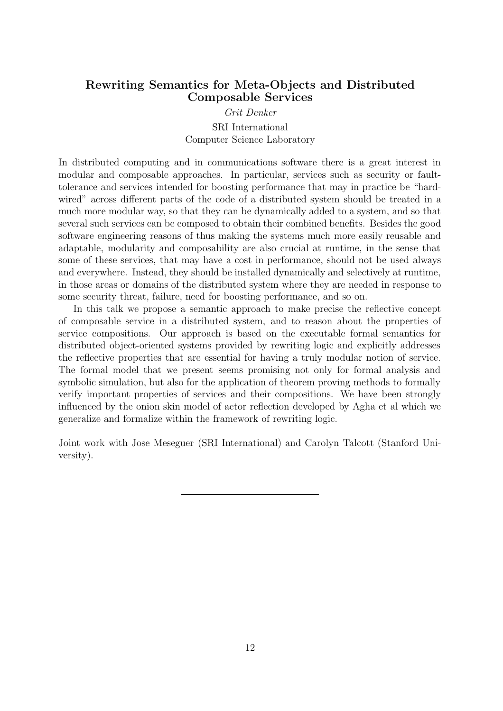#### Rewriting Semantics for Meta-Objects and Distributed Composable Services

Grit Denker SRI International Computer Science Laboratory

In distributed computing and in communications software there is a great interest in modular and composable approaches. In particular, services such as security or faulttolerance and services intended for boosting performance that may in practice be "hardwired" across different parts of the code of a distributed system should be treated in a much more modular way, so that they can be dynamically added to a system, and so that several such services can be composed to obtain their combined benefits. Besides the good software engineering reasons of thus making the systems much more easily reusable and adaptable, modularity and composability are also crucial at runtime, in the sense that some of these services, that may have a cost in performance, should not be used always and everywhere. Instead, they should be installed dynamically and selectively at runtime, in those areas or domains of the distributed system where they are needed in response to some security threat, failure, need for boosting performance, and so on.

In this talk we propose a semantic approach to make precise the reflective concept of composable service in a distributed system, and to reason about the properties of service compositions. Our approach is based on the executable formal semantics for distributed object-oriented systems provided by rewriting logic and explicitly addresses the reflective properties that are essential for having a truly modular notion of service. The formal model that we present seems promising not only for formal analysis and symbolic simulation, but also for the application of theorem proving methods to formally verify important properties of services and their compositions. We have been strongly influenced by the onion skin model of actor reflection developed by Agha et al which we generalize and formalize within the framework of rewriting logic.

Joint work with Jose Meseguer (SRI International) and Carolyn Talcott (Stanford University).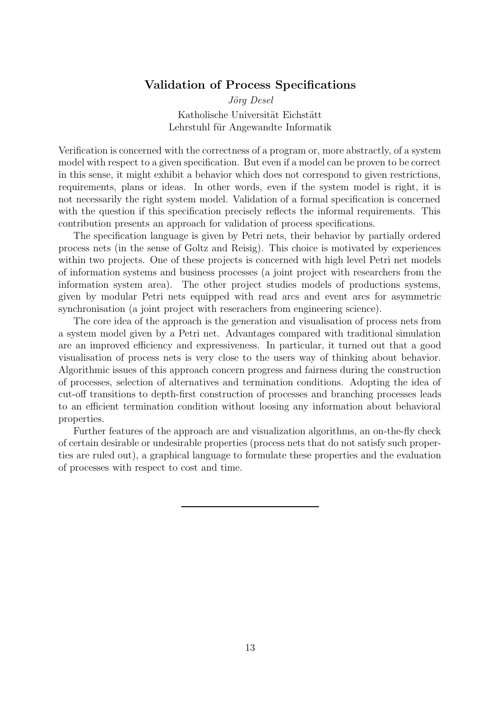#### Validation of Process Specifications

Jörg Desel Katholische Universität Eichstätt Lehrstuhl für Angewandte Informatik

Verification is concerned with the correctness of a program or, more abstractly, of a system model with respect to a given specification. But even if a model can be proven to be correct in this sense, it might exhibit a behavior which does not correspond to given restrictions, requirements, plans or ideas. In other words, even if the system model is right, it is not necessarily the right system model. Validation of a formal specification is concerned with the question if this specification precisely reflects the informal requirements. This contribution presents an approach for validation of process specifications.

The specification language is given by Petri nets, their behavior by partially ordered process nets (in the sense of Goltz and Reisig). This choice is motivated by experiences within two projects. One of these projects is concerned with high level Petri net models of information systems and business processes (a joint project with researchers from the information system area). The other project studies models of productions systems, given by modular Petri nets equipped with read arcs and event arcs for asymmetric synchronisation (a joint project with reserachers from engineering science).

The core idea of the approach is the generation and visualisation of process nets from a system model given by a Petri net. Advantages compared with traditional simulation are an improved efficiency and expressiveness. In particular, it turned out that a good visualisation of process nets is very close to the users way of thinking about behavior. Algorithmic issues of this approach concern progress and fairness during the construction of processes, selection of alternatives and termination conditions. Adopting the idea of cut-off transitions to depth-first construction of processes and branching processes leads to an efficient termination condition without loosing any information about behavioral properties.

Further features of the approach are and visualization algorithms, an on-the-fly check of certain desirable or undesirable properties (process nets that do not satisfy such properties are ruled out), a graphical language to formulate these properties and the evaluation of processes with respect to cost and time.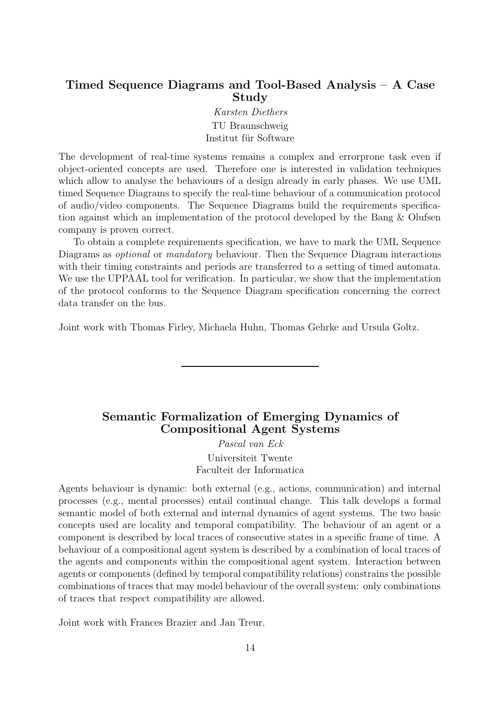# Timed Sequence Diagrams and Tool-Based Analysis – A Case Study

Karsten Diethers TU Braunschweig Institut für Software

The development of real-time systems remains a complex and errorprone task even if object-oriented concepts are used. Therefore one is interested in validation techniques which allow to analyse the behaviours of a design already in early phases. We use UML timed Sequence Diagrams to specify the real-time behaviour of a communication protocol of audio/video components. The Sequence Diagrams build the requirements specification against which an implementation of the protocol developed by the Bang & Olufsen company is proven correct.

To obtain a complete requirements specification, we have to mark the UML Sequence Diagrams as *optional* or *mandatory* behaviour. Then the Sequence Diagram interactions with their timing constraints and periods are transferred to a setting of timed automata. We use the UPPAAL tool for verification. In particular, we show that the implementation of the protocol conforms to the Sequence Diagram specification concerning the correct data transfer on the bus.

Joint work with Thomas Firley, Michaela Huhn, Thomas Gehrke and Ursula Goltz.

#### Semantic Formalization of Emerging Dynamics of Compositional Agent Systems

Pascal van Eck Universiteit Twente Faculteit der Informatica

Agents behaviour is dynamic: both external (e.g., actions, communication) and internal processes (e.g., mental processes) entail continual change. This talk develops a formal semantic model of both external and internal dynamics of agent systems. The two basic concepts used are locality and temporal compatibility. The behaviour of an agent or a component is described by local traces of consecutive states in a specific frame of time. A behaviour of a compositional agent system is described by a combination of local traces of the agents and components within the compositional agent system. Interaction between agents or components (defined by temporal compatibility relations) constrains the possible combinations of traces that may model behaviour of the overall system: only combinations of traces that respect compatibility are allowed.

Joint work with Frances Brazier and Jan Treur.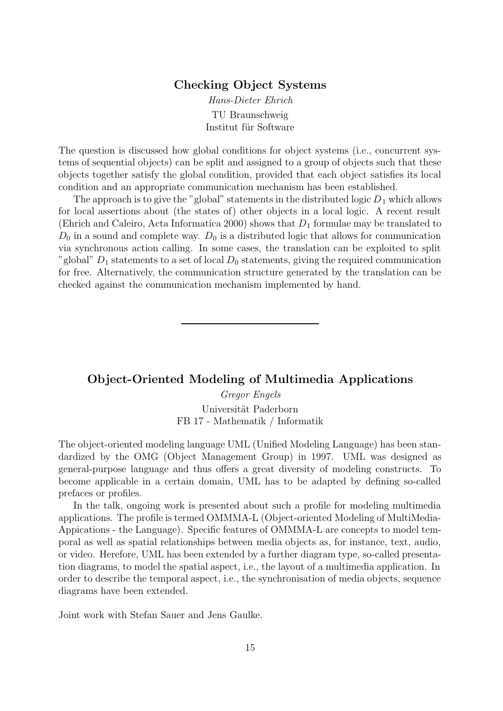#### Checking Object Systems

Hans-Dieter Ehrich TU Braunschweig Institut für Software

The question is discussed how global conditions for object systems (i.e., concurrent systems of sequential objects) can be split and assigned to a group of objects such that these objects together satisfy the global condition, provided that each object satisfies its local condition and an appropriate communication mechanism has been established.

The approach is to give the "global" statements in the distributed logic  $D_1$  which allows for local assertions about (the states of) other objects in a local logic. A recent result (Ehrich and Caleiro, Acta Informatica 2000) shows that  $D_1$  formulae may be translated to  $D_0$  in a sound and complete way.  $D_0$  is a distributed logic that allows for communication via synchronous action calling. In some cases, the translation can be exploited to split "global"  $D_1$  statements to a set of local  $D_0$  statements, giving the required communication for free. Alternatively, the communication structure generated by the translation can be checked against the communication mechanism implemented by hand.

#### Object-Oriented Modeling of Multimedia Applications

Gregor Engels Universität Paderborn FB 17 - Mathematik / Informatik

The object-oriented modeling language UML (Unified Modeling Language) has been standardized by the OMG (Object Management Group) in 1997. UML was designed as general-purpose language and thus offers a great diversity of modeling constructs. To become applicable in a certain domain, UML has to be adapted by defining so-called prefaces or profiles.

In the talk, ongoing work is presented about such a profile for modeling multimedia applications. The profile is termed OMMMA-L (Object-oriented Modeling of MultiMedia-Appications - the Language). Specific features of OMMMA-L are concepts to model temporal as well as spatial relationships between media objects as, for instance, text, audio, or video. Herefore, UML has been extended by a further diagram type, so-called presentation diagrams, to model the spatial aspect, i.e., the layout of a multimedia application. In order to describe the temporal aspect, i.e., the synchronisation of media objects, sequence diagrams have been extended.

Joint work with Stefan Sauer and Jens Gaulke.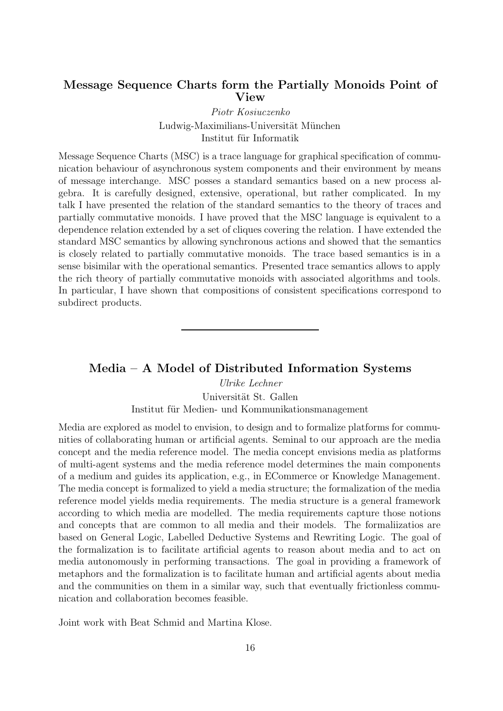## Message Sequence Charts form the Partially Monoids Point of View

Piotr Kosiuczenko Ludwig-Maximilians-Universität München Institut für Informatik

Message Sequence Charts (MSC) is a trace language for graphical specification of communication behaviour of asynchronous system components and their environment by means of message interchange. MSC posses a standard semantics based on a new process algebra. It is carefully designed, extensive, operational, but rather complicated. In my talk I have presented the relation of the standard semantics to the theory of traces and partially commutative monoids. I have proved that the MSC language is equivalent to a dependence relation extended by a set of cliques covering the relation. I have extended the standard MSC semantics by allowing synchronous actions and showed that the semantics is closely related to partially commutative monoids. The trace based semantics is in a sense bisimilar with the operational semantics. Presented trace semantics allows to apply the rich theory of partially commutative monoids with associated algorithms and tools. In particular, I have shown that compositions of consistent specifications correspond to subdirect products.

#### Media – A Model of Distributed Information Systems

Ulrike Lechner Universität St. Gallen Institut für Medien- und Kommunikationsmanagement

Media are explored as model to envision, to design and to formalize platforms for communities of collaborating human or artificial agents. Seminal to our approach are the media concept and the media reference model. The media concept envisions media as platforms of multi-agent systems and the media reference model determines the main components of a medium and guides its application, e.g., in ECommerce or Knowledge Management. The media concept is formalized to yield a media structure; the formalization of the media reference model yields media requirements. The media structure is a general framework according to which media are modelled. The media requirements capture those notions and concepts that are common to all media and their models. The formaliizatios are based on General Logic, Labelled Deductive Systems and Rewriting Logic. The goal of the formalization is to facilitate artificial agents to reason about media and to act on media autonomously in performing transactions. The goal in providing a framework of metaphors and the formalization is to facilitate human and artificial agents about media and the communities on them in a similar way, such that eventually frictionless communication and collaboration becomes feasible.

Joint work with Beat Schmid and Martina Klose.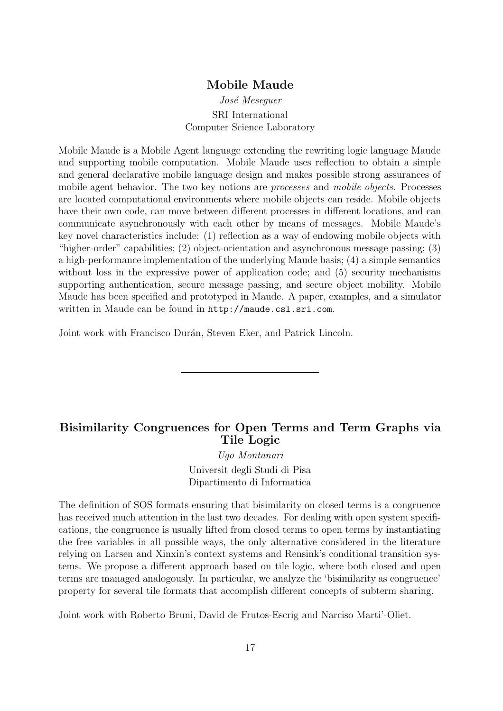#### Mobile Maude

#### José Meseguer SRI International Computer Science Laboratory

Mobile Maude is a Mobile Agent language extending the rewriting logic language Maude and supporting mobile computation. Mobile Maude uses reflection to obtain a simple and general declarative mobile language design and makes possible strong assurances of mobile agent behavior. The two key notions are *processes* and *mobile objects*. Processes are located computational environments where mobile objects can reside. Mobile objects have their own code, can move between different processes in different locations, and can communicate asynchronously with each other by means of messages. Mobile Maude's key novel characteristics include: (1) reflection as a way of endowing mobile objects with "higher-order" capabilities; (2) object-orientation and asynchronous message passing; (3) a high-performance implementation of the underlying Maude basis; (4) a simple semantics without loss in the expressive power of application code; and (5) security mechanisms supporting authentication, secure message passing, and secure object mobility. Mobile Maude has been specified and prototyped in Maude. A paper, examples, and a simulator written in Maude can be found in http://maude.csl.sri.com.

Joint work with Francisco Durán, Steven Eker, and Patrick Lincoln.

# Bisimilarity Congruences for Open Terms and Term Graphs via Tile Logic

Ugo Montanari Universit degli Studi di Pisa Dipartimento di Informatica

The definition of SOS formats ensuring that bisimilarity on closed terms is a congruence has received much attention in the last two decades. For dealing with open system specifications, the congruence is usually lifted from closed terms to open terms by instantiating the free variables in all possible ways, the only alternative considered in the literature relying on Larsen and Xinxin's context systems and Rensink's conditional transition systems. We propose a different approach based on tile logic, where both closed and open terms are managed analogously. In particular, we analyze the 'bisimilarity as congruence' property for several tile formats that accomplish different concepts of subterm sharing.

Joint work with Roberto Bruni, David de Frutos-Escrig and Narciso Marti'-Oliet.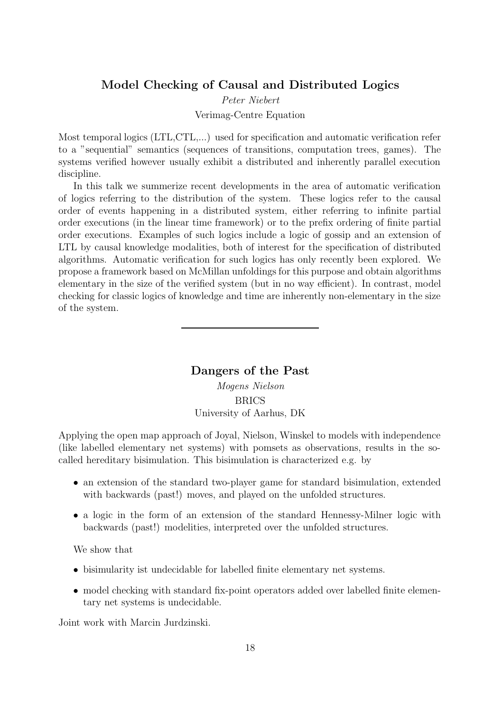#### Model Checking of Causal and Distributed Logics

Peter Niebert

Verimag-Centre Equation

Most temporal logics (LTL,CTL,...) used for specification and automatic verification refer to a "sequential" semantics (sequences of transitions, computation trees, games). The systems verified however usually exhibit a distributed and inherently parallel execution discipline.

In this talk we summerize recent developments in the area of automatic verification of logics referring to the distribution of the system. These logics refer to the causal order of events happening in a distributed system, either referring to infinite partial order executions (in the linear time framework) or to the prefix ordering of finite partial order executions. Examples of such logics include a logic of gossip and an extension of LTL by causal knowledge modalities, both of interest for the specification of distributed algorithms. Automatic verification for such logics has only recently been explored. We propose a framework based on McMillan unfoldings for this purpose and obtain algorithms elementary in the size of the verified system (but in no way efficient). In contrast, model checking for classic logics of knowledge and time are inherently non-elementary in the size of the system.

#### Dangers of the Past

Mogens Nielson BRICS University of Aarhus, DK

Applying the open map approach of Joyal, Nielson, Winskel to models with independence (like labelled elementary net systems) with pomsets as observations, results in the socalled hereditary bisimulation. This bisimulation is characterized e.g. by

- an extension of the standard two-player game for standard bisimulation, extended with backwards (past!) moves, and played on the unfolded structures.
- a logic in the form of an extension of the standard Hennessy-Milner logic with backwards (past!) modelities, interpreted over the unfolded structures.

We show that

- bisimularity ist undecidable for labelled finite elementary net systems.
- model checking with standard fix-point operators added over labelled finite elementary net systems is undecidable.

Joint work with Marcin Jurdzinski.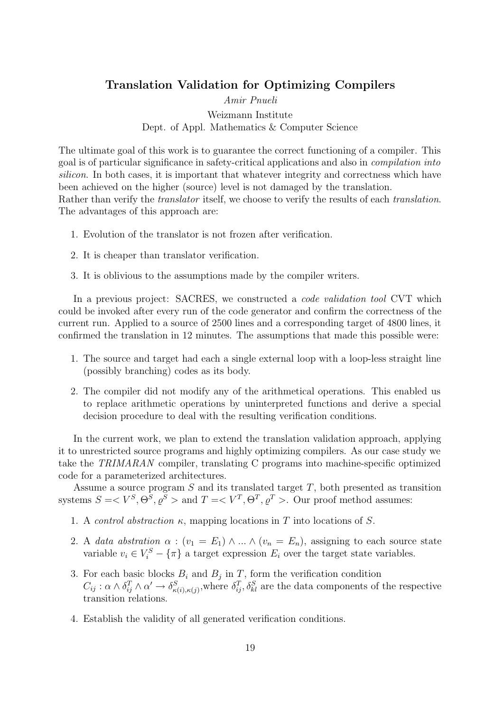#### Translation Validation for Optimizing Compilers

Amir Pnueli

#### Weizmann Institute Dept. of Appl. Mathematics & Computer Science

The ultimate goal of this work is to guarantee the correct functioning of a compiler. This goal is of particular significance in safety-critical applications and also in compilation into silicon. In both cases, it is important that whatever integrity and correctness which have been achieved on the higher (source) level is not damaged by the translation. Rather than verify the *translator* itself, we choose to verify the results of each *translation*. The advantages of this approach are:

- 1. Evolution of the translator is not frozen after verification.
- 2. It is cheaper than translator verification.
- 3. It is oblivious to the assumptions made by the compiler writers.

In a previous project: SACRES, we constructed a *code validation tool* CVT which could be invoked after every run of the code generator and confirm the correctness of the current run. Applied to a source of 2500 lines and a corresponding target of 4800 lines, it confirmed the translation in 12 minutes. The assumptions that made this possible were:

- 1. The source and target had each a single external loop with a loop-less straight line (possibly branching) codes as its body.
- 2. The compiler did not modify any of the arithmetical operations. This enabled us to replace arithmetic operations by uninterpreted functions and derive a special decision procedure to deal with the resulting verification conditions.

In the current work, we plan to extend the translation validation approach, applying it to unrestricted source programs and highly optimizing compilers. As our case study we take the TRIMARAN compiler, translating C programs into machine-specific optimized code for a parameterized architectures.

Assume a source program  $S$  and its translated target  $T$ , both presented as transition systems  $S = \langle V^S, \Theta^S, \varrho^S \rangle$  and  $T = \langle V^T, \Theta^T, \varrho^T \rangle$ . Our proof method assumes:

- 1. A *control abstraction*  $\kappa$ , mapping locations in T into locations of S.
- 2. A data abstration  $\alpha$  :  $(v_1 = E_1) \wedge ... \wedge (v_n = E_n)$ , assigning to each source state variable  $v_i \in V_i^S - {\pi}$  a target expression  $E_i$  over the target state variables.
- 3. For each basic blocks  $B_i$  and  $B_j$  in T, form the verification condition  $C_{ij}: \alpha \wedge \delta_{ij}^T \wedge \alpha' \rightarrow \delta_{\kappa(i),\kappa(j)}^S$ , where  $\delta_{ij}^T, \delta_{kl}^S$  are the data components of the respective transition relations.
- 4. Establish the validity of all generated verification conditions.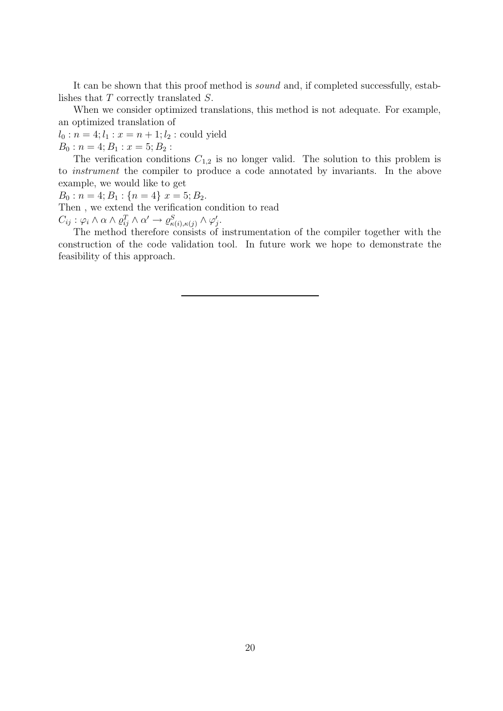It can be shown that this proof method is sound and, if completed successfully, establishes that T correctly translated S.

When we consider optimized translations, this method is not adequate. For example, an optimized translation of

 $l_0 : n = 4; l_1 : x = n + 1; l_2 : \text{could yield}$ 

 $B_0: n = 4; B_1: x = 5; B_2:$ 

The verification conditions  $C_{1,2}$  is no longer valid. The solution to this problem is to instrument the compiler to produce a code annotated by invariants. In the above example, we would like to get

 $B_0$ :  $n = 4; B_1$ :  $\{n = 4\}$   $x = 5; B_2$ .

Then , we extend the verification condition to read

 $C_{ij} : \varphi_i \wedge \alpha \wedge \varrho_{ij}^T \wedge \alpha' \rightarrow \varrho_{\kappa(i),\kappa(j)}^S \wedge \varphi_j'$ ,<br>j.

The method therefore consists of instrumentation of the compiler together with the construction of the code validation tool. In future work we hope to demonstrate the feasibility of this approach.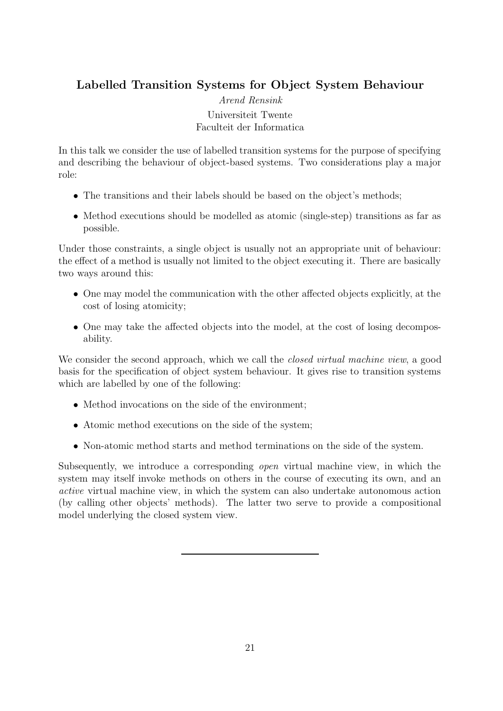# Labelled Transition Systems for Object System Behaviour

Arend Rensink Universiteit Twente Faculteit der Informatica

In this talk we consider the use of labelled transition systems for the purpose of specifying and describing the behaviour of object-based systems. Two considerations play a major role:

- The transitions and their labels should be based on the object's methods;
- Method executions should be modelled as atomic (single-step) transitions as far as possible.

Under those constraints, a single object is usually not an appropriate unit of behaviour: the effect of a method is usually not limited to the object executing it. There are basically two ways around this:

- One may model the communication with the other affected objects explicitly, at the cost of losing atomicity;
- One may take the affected objects into the model, at the cost of losing decomposability.

We consider the second approach, which we call the *closed virtual machine view*, a good basis for the specification of object system behaviour. It gives rise to transition systems which are labelled by one of the following:

- Method invocations on the side of the environment;
- Atomic method executions on the side of the system;
- Non-atomic method starts and method terminations on the side of the system.

Subsequently, we introduce a corresponding open virtual machine view, in which the system may itself invoke methods on others in the course of executing its own, and an active virtual machine view, in which the system can also undertake autonomous action (by calling other objects' methods). The latter two serve to provide a compositional model underlying the closed system view.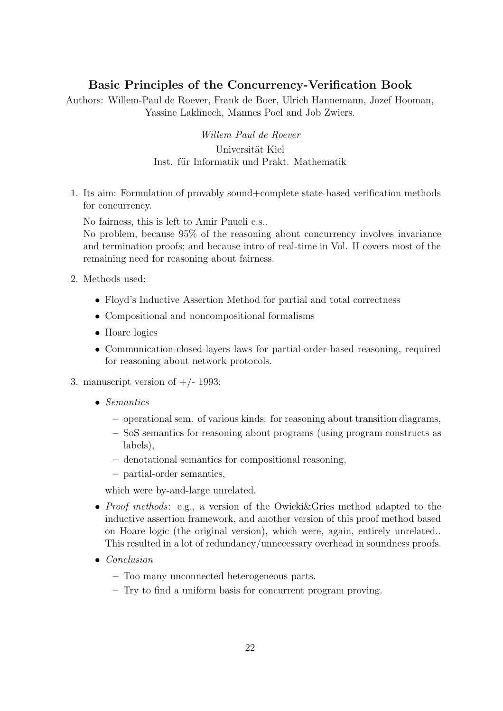# Basic Principles of the Concurrency-Verification Book

Authors: Willem-Paul de Roever, Frank de Boer, Ulrich Hannemann, Jozef Hooman, Yassine Lakhnech, Mannes Poel and Job Zwiers.

> Willem Paul de Roever Universität Kiel Inst. für Informatik und Prakt. Mathematik

1. Its aim: Formulation of provably sound+complete state-based verification methods for concurrency.

No fairness, this is left to Amir Pnueli c.s..

No problem, because 95% of the reasoning about concurrency involves invariance and termination proofs; and because intro of real-time in Vol. II covers most of the remaining need for reasoning about fairness.

- 2. Methods used:
	- Floyd's Inductive Assertion Method for partial and total correctness
	- Compositional and noncompositional formalisms
	- Hoare logics
	- Communication-closed-layers laws for partial-order-based reasoning, required for reasoning about network protocols.
- 3. manuscript version of  $+/- 1993$ :
	- Semantics
		- operational sem. of various kinds: for reasoning about transition diagrams,
		- SoS semantics for reasoning about programs (using program constructs as labels),
		- denotational semantics for compositional reasoning,
		- partial-order semantics,

which were by-and-large unrelated.

- Proof methods: e.g., a version of the Owicki&Gries method adapted to the inductive assertion framework, and another version of this proof method based on Hoare logic (the original version), which were, again, entirely unrelated.. This resulted in a lot of redundancy/unnecessary overhead in soundness proofs.
- Conclusion
	- Too many unconnected heterogeneous parts.
	- Try to find a uniform basis for concurrent program proving.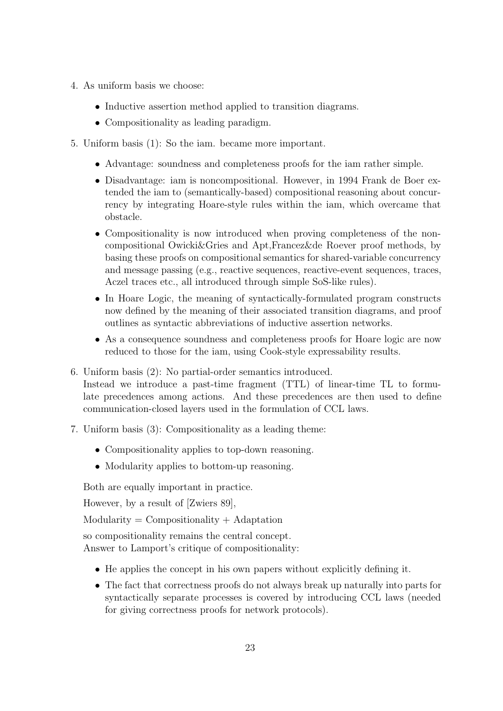- 4. As uniform basis we choose:
	- Inductive assertion method applied to transition diagrams.
	- Compositionality as leading paradigm.
- 5. Uniform basis (1): So the iam. became more important.
	- Advantage: soundness and completeness proofs for the iam rather simple.
	- Disadvantage: iam is noncompositional. However, in 1994 Frank de Boer extended the iam to (semantically-based) compositional reasoning about concurrency by integrating Hoare-style rules within the iam, which overcame that obstacle.
	- Compositionality is now introduced when proving completeness of the noncompositional Owicki&Gries and Apt,Francez&de Roever proof methods, by basing these proofs on compositional semantics for shared-variable concurrency and message passing (e.g., reactive sequences, reactive-event sequences, traces, Aczel traces etc., all introduced through simple SoS-like rules).
	- In Hoare Logic, the meaning of syntactically-formulated program constructs now defined by the meaning of their associated transition diagrams, and proof outlines as syntactic abbreviations of inductive assertion networks.
	- As a consequence soundness and completeness proofs for Hoare logic are now reduced to those for the iam, using Cook-style expressability results.
- 6. Uniform basis (2): No partial-order semantics introduced.

Instead we introduce a past-time fragment (TTL) of linear-time TL to formulate precedences among actions. And these precedences are then used to define communication-closed layers used in the formulation of CCL laws.

- 7. Uniform basis (3): Compositionality as a leading theme:
	- Compositionality applies to top-down reasoning.
	- Modularity applies to bottom-up reasoning.

Both are equally important in practice.

However, by a result of [Zwiers 89],

 $Modularity = Compositionality + Adaptation$ 

so compositionality remains the central concept. Answer to Lamport's critique of compositionality:

- He applies the concept in his own papers without explicitly defining it.
- The fact that correctness proofs do not always break up naturally into parts for syntactically separate processes is covered by introducing CCL laws (needed for giving correctness proofs for network protocols).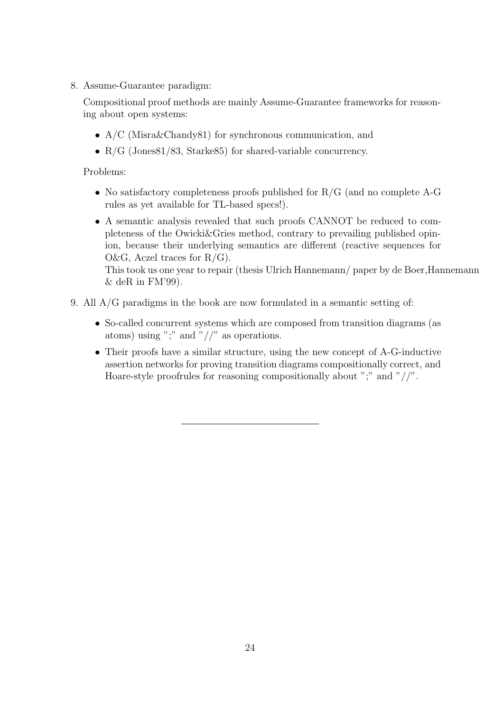8. Assume-Guarantee paradigm:

Compositional proof methods are mainly Assume-Guarantee frameworks for reasoning about open systems:

- A/C (Misra&Chandy81) for synchronous communication, and
- $R/G$  (Jones81/83, Starke85) for shared-variable concurrency.

Problems:

- No satisfactory completeness proofs published for R/G (and no complete A-G rules as yet available for TL-based specs!).
- A semantic analysis revealed that such proofs CANNOT be reduced to completeness of the Owicki&Gries method, contrary to prevailing published opinion, because their underlying semantics are different (reactive sequences for O&G, Aczel traces for  $R/G$ ). This took us one year to repair (thesis Ulrich Hannemann/ paper by de Boer,Hannemann

 $&$  deR in FM'99).

- 9. All A/G paradigms in the book are now formulated in a semantic setting of:
	- So-called concurrent systems which are composed from transition diagrams (as atoms) using ";" and " $//$ " as operations.
	- Their proofs have a similar structure, using the new concept of A-G-inductive assertion networks for proving transition diagrams compositionally correct, and Hoare-style proofrules for reasoning compositionally about ";" and " $//$ ".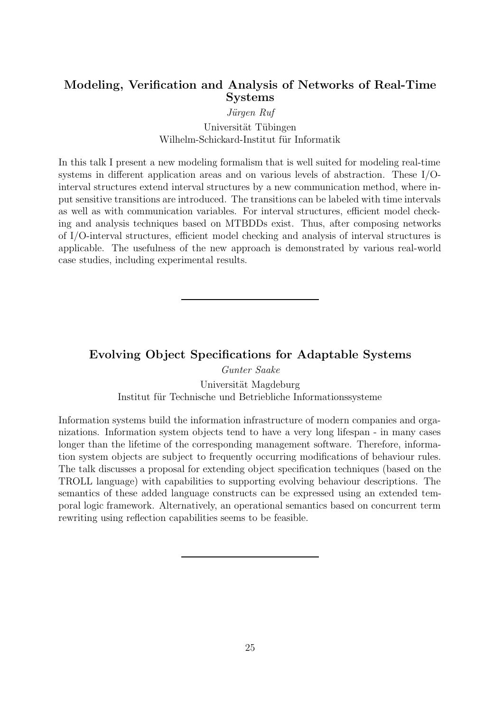# Modeling, Verification and Analysis of Networks of Real-Time Systems

#### Jürgen Ruf

#### Universität Tübingen Wilhelm-Schickard-Institut für Informatik

In this talk I present a new modeling formalism that is well suited for modeling real-time systems in different application areas and on various levels of abstraction. These I/Ointerval structures extend interval structures by a new communication method, where input sensitive transitions are introduced. The transitions can be labeled with time intervals as well as with communication variables. For interval structures, efficient model checking and analysis techniques based on MTBDDs exist. Thus, after composing networks of I/O-interval structures, efficient model checking and analysis of interval structures is applicable. The usefulness of the new approach is demonstrated by various real-world case studies, including experimental results.

# Evolving Object Specifications for Adaptable Systems

Gunter Saake Universität Magdeburg Institut für Technische und Betriebliche Informationssysteme

Information systems build the information infrastructure of modern companies and organizations. Information system objects tend to have a very long lifespan - in many cases longer than the lifetime of the corresponding management software. Therefore, information system objects are subject to frequently occurring modifications of behaviour rules. The talk discusses a proposal for extending object specification techniques (based on the TROLL language) with capabilities to supporting evolving behaviour descriptions. The semantics of these added language constructs can be expressed using an extended temporal logic framework. Alternatively, an operational semantics based on concurrent term rewriting using reflection capabilities seems to be feasible.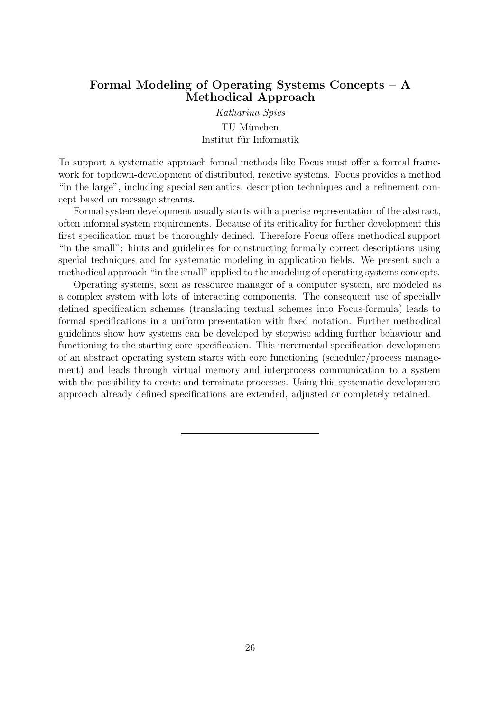## Formal Modeling of Operating Systems Concepts – A Methodical Approach

Katharina Spies TU München Institut für Informatik

To support a systematic approach formal methods like Focus must offer a formal framework for topdown-development of distributed, reactive systems. Focus provides a method "in the large", including special semantics, description techniques and a refinement concept based on message streams.

Formal system development usually starts with a precise representation of the abstract, often informal system requirements. Because of its criticality for further development this first specification must be thoroughly defined. Therefore Focus offers methodical support "in the small": hints and guidelines for constructing formally correct descriptions using special techniques and for systematic modeling in application fields. We present such a methodical approach "in the small" applied to the modeling of operating systems concepts.

Operating systems, seen as ressource manager of a computer system, are modeled as a complex system with lots of interacting components. The consequent use of specially defined specification schemes (translating textual schemes into Focus-formula) leads to formal specifications in a uniform presentation with fixed notation. Further methodical guidelines show how systems can be developed by stepwise adding further behaviour and functioning to the starting core specification. This incremental specification development of an abstract operating system starts with core functioning (scheduler/process management) and leads through virtual memory and interprocess communication to a system with the possibility to create and terminate processes. Using this systematic development approach already defined specifications are extended, adjusted or completely retained.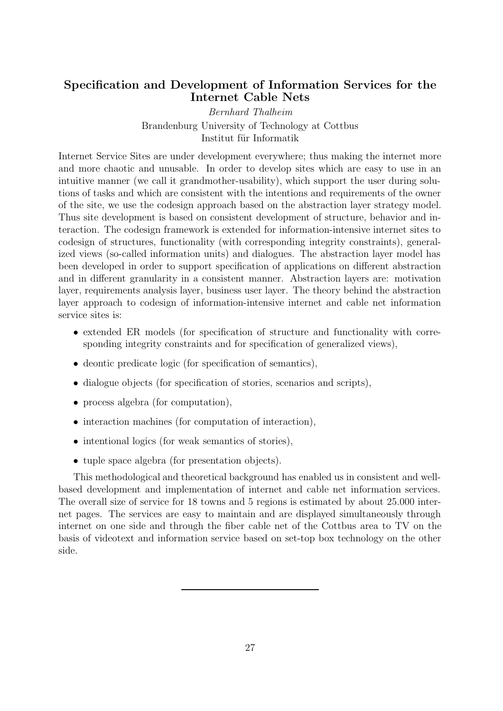# Specification and Development of Information Services for the Internet Cable Nets

Bernhard Thalheim Brandenburg University of Technology at Cottbus Institut für Informatik

Internet Service Sites are under development everywhere; thus making the internet more and more chaotic and unusable. In order to develop sites which are easy to use in an intuitive manner (we call it grandmother-usability), which support the user during solutions of tasks and which are consistent with the intentions and requirements of the owner of the site, we use the codesign approach based on the abstraction layer strategy model. Thus site development is based on consistent development of structure, behavior and interaction. The codesign framework is extended for information-intensive internet sites to codesign of structures, functionality (with corresponding integrity constraints), generalized views (so-called information units) and dialogues. The abstraction layer model has been developed in order to support specification of applications on different abstraction and in different granularity in a consistent manner. Abstraction layers are: motivation layer, requirements analysis layer, business user layer. The theory behind the abstraction layer approach to codesign of information-intensive internet and cable net information service sites is:

- extended ER models (for specification of structure and functionality with corresponding integrity constraints and for specification of generalized views),
- deontic predicate logic (for specification of semantics),
- dialogue objects (for specification of stories, scenarios and scripts),
- process algebra (for computation).
- interaction machines (for computation of interaction),
- intentional logics (for weak semantics of stories),
- tuple space algebra (for presentation objects).

This methodological and theoretical background has enabled us in consistent and wellbased development and implementation of internet and cable net information services. The overall size of service for 18 towns and 5 regions is estimated by about 25.000 internet pages. The services are easy to maintain and are displayed simultaneously through internet on one side and through the fiber cable net of the Cottbus area to TV on the basis of videotext and information service based on set-top box technology on the other side.